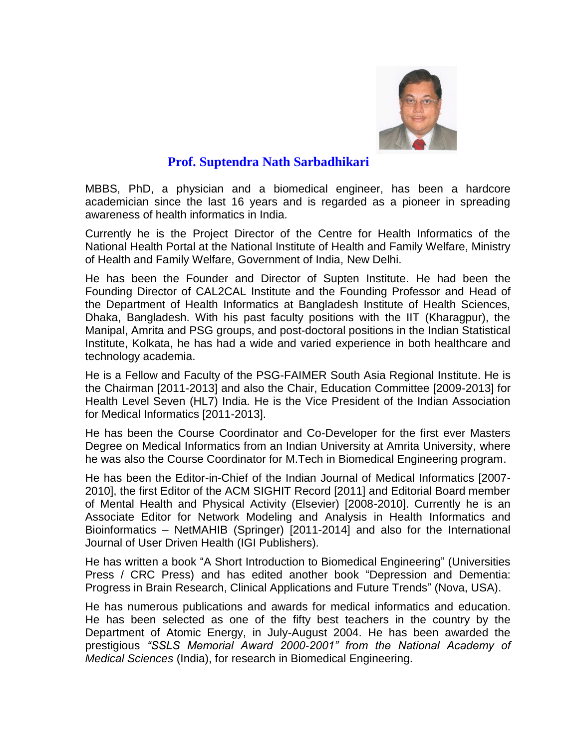

## **Prof. Suptendra Nath Sarbadhikari**

MBBS, PhD, a physician and a biomedical engineer, has been a hardcore academician since the last 16 years and is regarded as a pioneer in spreading awareness of health informatics in India.

Currently he is the Project Director of the Centre for Health Informatics of the National Health Portal at the National Institute of Health and Family Welfare, Ministry of Health and Family Welfare, Government of India, New Delhi.

He has been the Founder and Director of Supten Institute. He had been the Founding Director of CAL2CAL Institute and the Founding Professor and Head of the Department of Health Informatics at Bangladesh Institute of Health Sciences, Dhaka, Bangladesh. With his past faculty positions with the IIT (Kharagpur), the Manipal, Amrita and PSG groups, and post-doctoral positions in the Indian Statistical Institute, Kolkata, he has had a wide and varied experience in both healthcare and technology academia.

He is a Fellow and Faculty of the PSG-FAIMER South Asia Regional Institute. He is the Chairman [2011-2013] and also the Chair, Education Committee [2009-2013] for Health Level Seven (HL7) India. He is the Vice President of the Indian Association for Medical Informatics [2011-2013].

He has been the Course Coordinator and Co-Developer for the first ever Masters Degree on Medical Informatics from an Indian University at Amrita University, where he was also the Course Coordinator for M.Tech in Biomedical Engineering program.

He has been the Editor-in-Chief of the Indian Journal of Medical Informatics [2007- 2010], the first Editor of the ACM SIGHIT Record [2011] and Editorial Board member of Mental Health and Physical Activity (Elsevier) [2008-2010]. Currently he is an Associate Editor for Network Modeling and Analysis in Health Informatics and Bioinformatics – NetMAHIB (Springer) [2011-2014] and also for the International Journal of User Driven Health (IGI Publishers).

He has written a book "A Short Introduction to Biomedical Engineering" (Universities Press / CRC Press) and has edited another book "Depression and Dementia: Progress in Brain Research, Clinical Applications and Future Trends" (Nova, USA).

He has numerous publications and awards for medical informatics and education. He has been selected as one of the fifty best teachers in the country by the Department of Atomic Energy, in July-August 2004. He has been awarded the prestigious *"SSLS Memorial Award 2000-2001" from the National Academy of Medical Sciences* (India), for research in Biomedical Engineering.